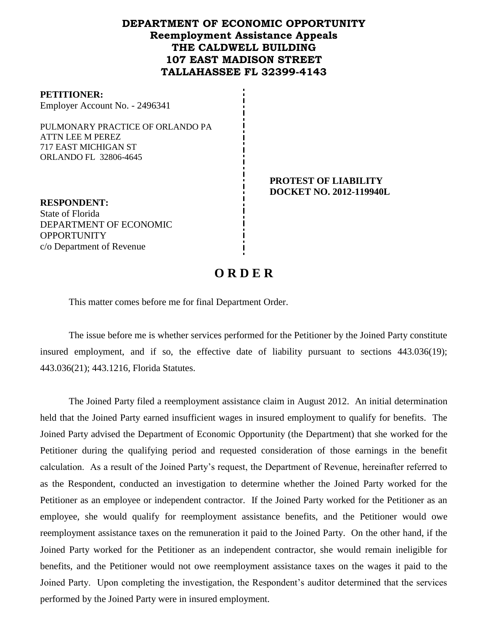## **DEPARTMENT OF ECONOMIC OPPORTUNITY Reemployment Assistance Appeals THE CALDWELL BUILDING 107 EAST MADISON STREET TALLAHASSEE FL 32399-4143**

#### **PETITIONER:** Employer Account No. - 2496341

PULMONARY PRACTICE OF ORLANDO PA ATTN LEE M PEREZ 717 EAST MICHIGAN ST ORLANDO FL 32806-4645

### **PROTEST OF LIABILITY DOCKET NO. 2012-119940L**

**RESPONDENT:** State of Florida DEPARTMENT OF ECONOMIC **OPPORTUNITY** c/o Department of Revenue

# **O R D E R**

This matter comes before me for final Department Order.

The issue before me is whether services performed for the Petitioner by the Joined Party constitute insured employment, and if so, the effective date of liability pursuant to sections 443.036(19); 443.036(21); 443.1216, Florida Statutes.

The Joined Party filed a reemployment assistance claim in August 2012.An initial determination held that the Joined Party earned insufficient wages in insured employment to qualify for benefits. The Joined Party advised the Department of Economic Opportunity (the Department) that she worked for the Petitioner during the qualifying period and requested consideration of those earnings in the benefit calculation. As a result of the Joined Party's request, the Department of Revenue, hereinafter referred to as the Respondent, conducted an investigation to determine whether the Joined Party worked for the Petitioner as an employee or independent contractor. If the Joined Party worked for the Petitioner as an employee, she would qualify for reemployment assistance benefits, and the Petitioner would owe reemployment assistance taxes on the remuneration it paid to the Joined Party. On the other hand, if the Joined Party worked for the Petitioner as an independent contractor, she would remain ineligible for benefits, and the Petitioner would not owe reemployment assistance taxes on the wages it paid to the Joined Party. Upon completing the investigation, the Respondent's auditor determined that the services performed by the Joined Party were in insured employment.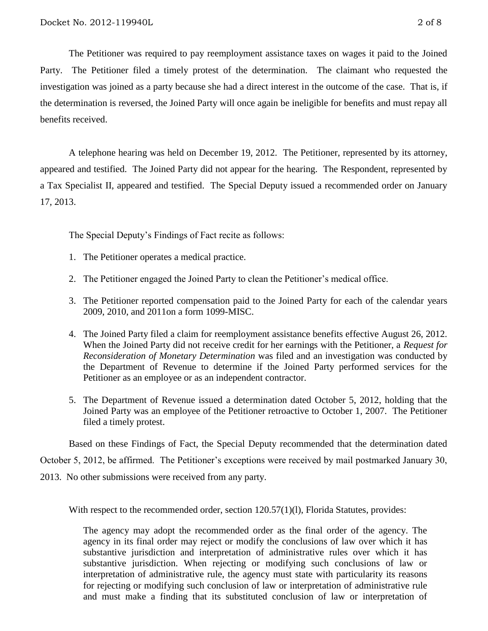The Petitioner was required to pay reemployment assistance taxes on wages it paid to the Joined Party.The Petitioner filed a timely protest of the determination.The claimant who requested the investigation was joined as a party because she had a direct interest in the outcome of the case. That is, if the determination is reversed, the Joined Party will once again be ineligible for benefits and must repay all benefits received.

A telephone hearing was held on December 19, 2012.The Petitioner, represented by its attorney, appeared and testified. The Joined Party did not appear for the hearing. The Respondent, represented by a Tax Specialist II, appeared and testified. The Special Deputy issued a recommended order on January 17, 2013.

The Special Deputy's Findings of Fact recite as follows:

- 1. The Petitioner operates a medical practice.
- 2. The Petitioner engaged the Joined Party to clean the Petitioner's medical office.
- 3. The Petitioner reported compensation paid to the Joined Party for each of the calendar years 2009, 2010, and 2011on a form 1099-MISC.
- 4. The Joined Party filed a claim for reemployment assistance benefits effective August 26, 2012. When the Joined Party did not receive credit for her earnings with the Petitioner, a *Request for Reconsideration of Monetary Determination* was filed and an investigation was conducted by the Department of Revenue to determine if the Joined Party performed services for the Petitioner as an employee or as an independent contractor.
- 5. The Department of Revenue issued a determination dated October 5, 2012, holding that the Joined Party was an employee of the Petitioner retroactive to October 1, 2007. The Petitioner filed a timely protest.

Based on these Findings of Fact, the Special Deputy recommended that the determination dated October 5, 2012, be affirmed. The Petitioner's exceptions were received by mail postmarked January 30, 2013. No other submissions were received from any party.

With respect to the recommended order, section 120.57(1)(1), Florida Statutes, provides:

The agency may adopt the recommended order as the final order of the agency. The agency in its final order may reject or modify the conclusions of law over which it has substantive jurisdiction and interpretation of administrative rules over which it has substantive jurisdiction. When rejecting or modifying such conclusions of law or interpretation of administrative rule, the agency must state with particularity its reasons for rejecting or modifying such conclusion of law or interpretation of administrative rule and must make a finding that its substituted conclusion of law or interpretation of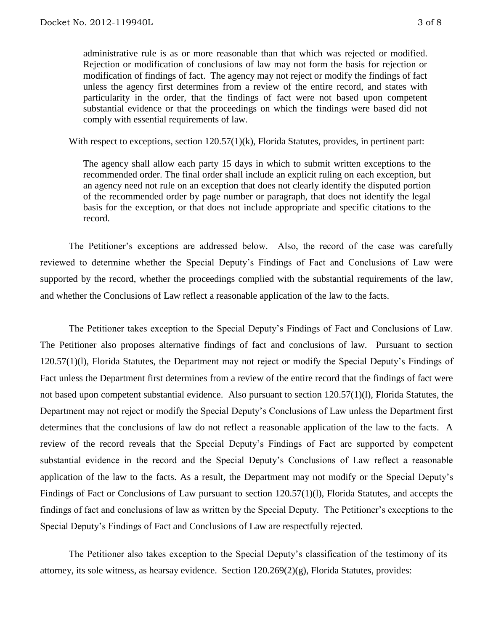administrative rule is as or more reasonable than that which was rejected or modified. Rejection or modification of conclusions of law may not form the basis for rejection or modification of findings of fact. The agency may not reject or modify the findings of fact unless the agency first determines from a review of the entire record, and states with particularity in the order, that the findings of fact were not based upon competent substantial evidence or that the proceedings on which the findings were based did not comply with essential requirements of law.

With respect to exceptions, section  $120.57(1)(k)$ , Florida Statutes, provides, in pertinent part:

The agency shall allow each party 15 days in which to submit written exceptions to the recommended order. The final order shall include an explicit ruling on each exception, but an agency need not rule on an exception that does not clearly identify the disputed portion of the recommended order by page number or paragraph, that does not identify the legal basis for the exception, or that does not include appropriate and specific citations to the record.

The Petitioner's exceptions are addressed below. Also, the record of the case was carefully reviewed to determine whether the Special Deputy's Findings of Fact and Conclusions of Law were supported by the record, whether the proceedings complied with the substantial requirements of the law, and whether the Conclusions of Law reflect a reasonable application of the law to the facts.

The Petitioner takes exception to the Special Deputy's Findings of Fact and Conclusions of Law. The Petitioner also proposes alternative findings of fact and conclusions of law. Pursuant to section 120.57(1)(l), Florida Statutes, the Department may not reject or modify the Special Deputy's Findings of Fact unless the Department first determines from a review of the entire record that the findings of fact were not based upon competent substantial evidence. Also pursuant to section 120.57(1)(l), Florida Statutes, the Department may not reject or modify the Special Deputy's Conclusions of Law unless the Department first determines that the conclusions of law do not reflect a reasonable application of the law to the facts. A review of the record reveals that the Special Deputy's Findings of Fact are supported by competent substantial evidence in the record and the Special Deputy's Conclusions of Law reflect a reasonable application of the law to the facts. As a result, the Department may not modify or the Special Deputy's Findings of Fact or Conclusions of Law pursuant to section 120.57(1)(l), Florida Statutes, and accepts the findings of fact and conclusions of law as written by the Special Deputy. The Petitioner's exceptions to the Special Deputy's Findings of Fact and Conclusions of Law are respectfully rejected.

The Petitioner also takes exception to the Special Deputy's classification of the testimony of its attorney, its sole witness, as hearsay evidence. Section 120.269(2)(g), Florida Statutes, provides: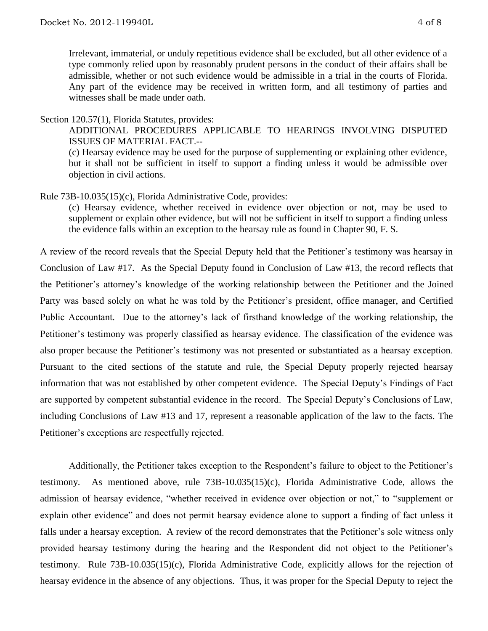Irrelevant, immaterial, or unduly repetitious evidence shall be excluded, but all other evidence of a type commonly relied upon by reasonably prudent persons in the conduct of their affairs shall be admissible, whether or not such evidence would be admissible in a trial in the courts of Florida. Any part of the evidence may be received in written form, and all testimony of parties and witnesses shall be made under oath.

Section 120.57(1), Florida Statutes, provides:

ADDITIONAL PROCEDURES APPLICABLE TO HEARINGS INVOLVING DISPUTED ISSUES OF MATERIAL FACT.--

(c) Hearsay evidence may be used for the purpose of supplementing or explaining other evidence, but it shall not be sufficient in itself to support a finding unless it would be admissible over objection in civil actions.

Rule 73B-10.035(15)(c), Florida Administrative Code, provides:

(c) Hearsay evidence, whether received in evidence over objection or not, may be used to supplement or explain other evidence, but will not be sufficient in itself to support a finding unless the evidence falls within an exception to the hearsay rule as found in Chapter 90, F. S.

A review of the record reveals that the Special Deputy held that the Petitioner's testimony was hearsay in Conclusion of Law #17. As the Special Deputy found in Conclusion of Law #13, the record reflects that the Petitioner's attorney's knowledge of the working relationship between the Petitioner and the Joined Party was based solely on what he was told by the Petitioner's president, office manager, and Certified Public Accountant. Due to the attorney's lack of firsthand knowledge of the working relationship, the Petitioner's testimony was properly classified as hearsay evidence. The classification of the evidence was also proper because the Petitioner's testimony was not presented or substantiated as a hearsay exception. Pursuant to the cited sections of the statute and rule, the Special Deputy properly rejected hearsay information that was not established by other competent evidence. The Special Deputy's Findings of Fact are supported by competent substantial evidence in the record. The Special Deputy's Conclusions of Law, including Conclusions of Law #13 and 17, represent a reasonable application of the law to the facts. The Petitioner's exceptions are respectfully rejected.

Additionally, the Petitioner takes exception to the Respondent's failure to object to the Petitioner's testimony. As mentioned above, rule 73B-10.035(15)(c), Florida Administrative Code, allows the admission of hearsay evidence, "whether received in evidence over objection or not," to "supplement or explain other evidence" and does not permit hearsay evidence alone to support a finding of fact unless it falls under a hearsay exception. A review of the record demonstrates that the Petitioner's sole witness only provided hearsay testimony during the hearing and the Respondent did not object to the Petitioner's testimony. Rule 73B-10.035(15)(c), Florida Administrative Code, explicitly allows for the rejection of hearsay evidence in the absence of any objections. Thus, it was proper for the Special Deputy to reject the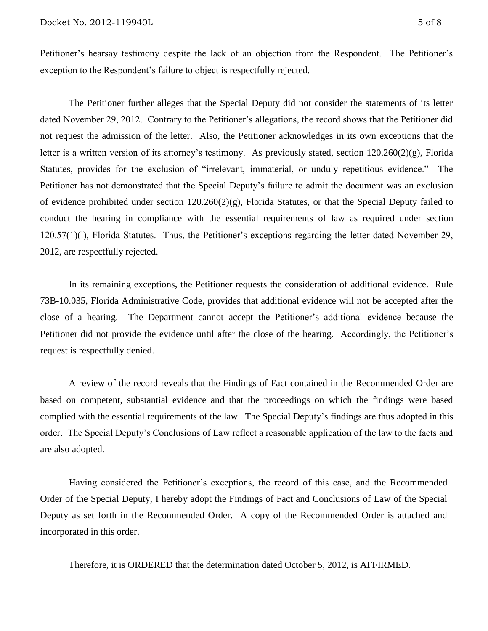Petitioner's hearsay testimony despite the lack of an objection from the Respondent. The Petitioner's exception to the Respondent's failure to object is respectfully rejected.

The Petitioner further alleges that the Special Deputy did not consider the statements of its letter dated November 29, 2012. Contrary to the Petitioner's allegations, the record shows that the Petitioner did not request the admission of the letter. Also, the Petitioner acknowledges in its own exceptions that the letter is a written version of its attorney's testimony. As previously stated, section 120.260(2)(g), Florida Statutes, provides for the exclusion of "irrelevant, immaterial, or unduly repetitious evidence." The Petitioner has not demonstrated that the Special Deputy's failure to admit the document was an exclusion of evidence prohibited under section 120.260(2)(g), Florida Statutes, or that the Special Deputy failed to conduct the hearing in compliance with the essential requirements of law as required under section 120.57(1)(l), Florida Statutes. Thus, the Petitioner's exceptions regarding the letter dated November 29, 2012, are respectfully rejected.

In its remaining exceptions, the Petitioner requests the consideration of additional evidence. Rule 73B-10.035, Florida Administrative Code, provides that additional evidence will not be accepted after the close of a hearing. The Department cannot accept the Petitioner's additional evidence because the Petitioner did not provide the evidence until after the close of the hearing. Accordingly, the Petitioner's request is respectfully denied.

A review of the record reveals that the Findings of Fact contained in the Recommended Order are based on competent, substantial evidence and that the proceedings on which the findings were based complied with the essential requirements of the law. The Special Deputy's findings are thus adopted in this order. The Special Deputy's Conclusions of Law reflect a reasonable application of the law to the facts and are also adopted.

Having considered the Petitioner's exceptions, the record of this case, and the Recommended Order of the Special Deputy, I hereby adopt the Findings of Fact and Conclusions of Law of the Special Deputy as set forth in the Recommended Order. A copy of the Recommended Order is attached and incorporated in this order.

Therefore, it is ORDERED that the determination dated October 5, 2012, is AFFIRMED.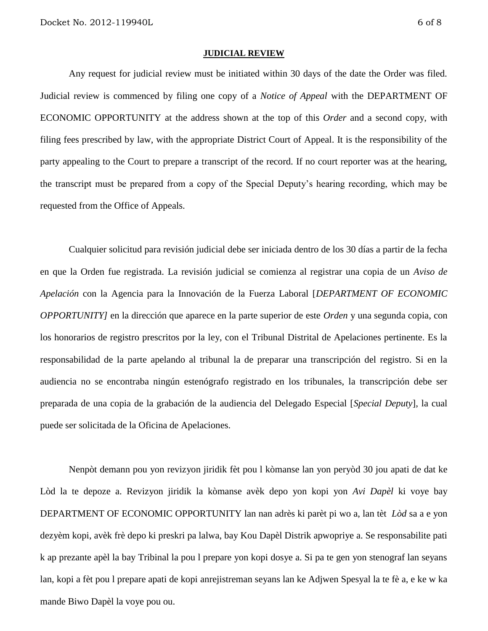#### **JUDICIAL REVIEW**

Any request for judicial review must be initiated within 30 days of the date the Order was filed. Judicial review is commenced by filing one copy of a *Notice of Appeal* with the DEPARTMENT OF ECONOMIC OPPORTUNITY at the address shown at the top of this *Order* and a second copy, with filing fees prescribed by law, with the appropriate District Court of Appeal. It is the responsibility of the party appealing to the Court to prepare a transcript of the record. If no court reporter was at the hearing, the transcript must be prepared from a copy of the Special Deputy's hearing recording, which may be requested from the Office of Appeals.

Cualquier solicitud para revisión judicial debe ser iniciada dentro de los 30 días a partir de la fecha en que la Orden fue registrada. La revisión judicial se comienza al registrar una copia de un *Aviso de Apelación* con la Agencia para la Innovación de la Fuerza Laboral [*DEPARTMENT OF ECONOMIC OPPORTUNITY]* en la dirección que aparece en la parte superior de este *Orden* y una segunda copia, con los honorarios de registro prescritos por la ley, con el Tribunal Distrital de Apelaciones pertinente. Es la responsabilidad de la parte apelando al tribunal la de preparar una transcripción del registro. Si en la audiencia no se encontraba ningún estenógrafo registrado en los tribunales, la transcripción debe ser preparada de una copia de la grabación de la audiencia del Delegado Especial [*Special Deputy*], la cual puede ser solicitada de la Oficina de Apelaciones.

Nenpòt demann pou yon revizyon jiridik fèt pou l kòmanse lan yon peryòd 30 jou apati de dat ke Lòd la te depoze a. Revizyon jiridik la kòmanse avèk depo yon kopi yon *Avi Dapèl* ki voye bay DEPARTMENT OF ECONOMIC OPPORTUNITY lan nan adrès ki parèt pi wo a, lan tèt *Lòd* sa a e yon dezyèm kopi, avèk frè depo ki preskri pa lalwa, bay Kou Dapèl Distrik apwopriye a. Se responsabilite pati k ap prezante apèl la bay Tribinal la pou l prepare yon kopi dosye a. Si pa te gen yon stenograf lan seyans lan, kopi a fèt pou l prepare apati de kopi anrejistreman seyans lan ke Adjwen Spesyal la te fè a, e ke w ka mande Biwo Dapèl la voye pou ou.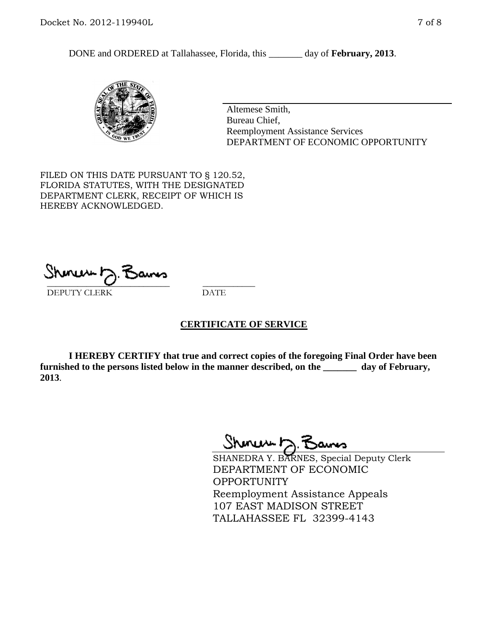DONE and ORDERED at Tallahassee, Florida, this \_\_\_\_\_\_\_ day of **February, 2013**.



Altemese Smith, Bureau Chief, Reemployment Assistance Services DEPARTMENT OF ECONOMIC OPPORTUNITY

FILED ON THIS DATE PURSUANT TO § 120.52, FLORIDA STATUTES, WITH THE DESIGNATED DEPARTMENT CLERK, RECEIPT OF WHICH IS HEREBY ACKNOWLEDGED.

\_\_\_\_\_\_\_\_\_\_\_\_\_\_\_\_\_\_\_\_\_\_\_\_\_\_\_\_ \_\_\_\_\_\_\_\_\_\_\_\_ DEPUTY CLERK DATE

## **CERTIFICATE OF SERVICE**

**I HEREBY CERTIFY that true and correct copies of the foregoing Final Order have been furnished to the persons listed below in the manner described, on the \_\_\_\_\_\_\_ day of February, 2013**.

Sheren J. Bams

SHANEDRA Y. BARNES, Special Deputy Clerk DEPARTMENT OF ECONOMIC OPPORTUNITY Reemployment Assistance Appeals 107 EAST MADISON STREET TALLAHASSEE FL 32399-4143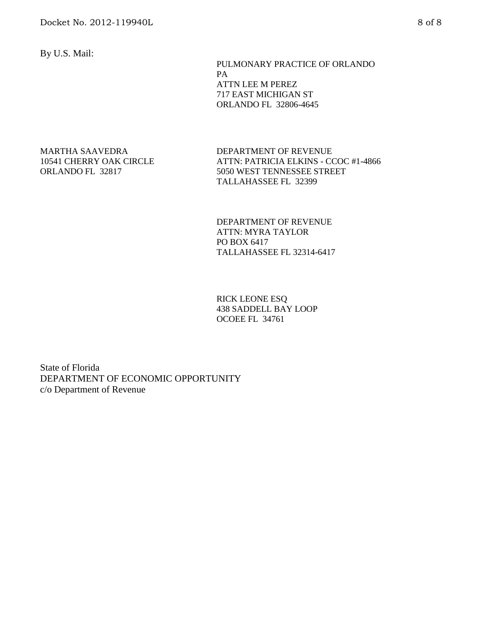By U.S. Mail:

 PULMONARY PRACTICE OF ORLANDO PA ATTN LEE M PEREZ 717 EAST MICHIGAN ST ORLANDO FL 32806-4645

#### MARTHA SAAVEDRA 10541 CHERRY OAK CIRCLE ORLANDO FL 32817

DEPARTMENT OF REVENUE ATTN: PATRICIA ELKINS - CCOC #1-4866 5050 WEST TENNESSEE STREET TALLAHASSEE FL 32399

DEPARTMENT OF REVENUE ATTN: MYRA TAYLOR PO BOX 6417 TALLAHASSEE FL 32314-6417

RICK LEONE ESQ 438 SADDELL BAY LOOP OCOEE FL 34761

State of Florida DEPARTMENT OF ECONOMIC OPPORTUNITY c/o Department of Revenue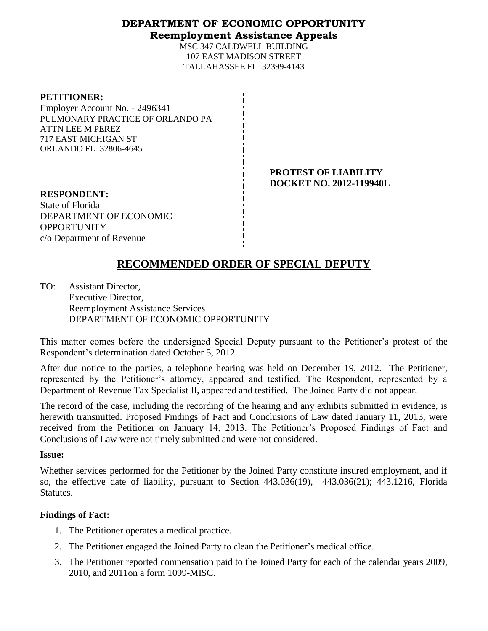## **DEPARTMENT OF ECONOMIC OPPORTUNITY Reemployment Assistance Appeals**

MSC 347 CALDWELL BUILDING 107 EAST MADISON STREET TALLAHASSEE FL 32399-4143

| <b>PETITIONER:</b> |  |
|--------------------|--|
|                    |  |

Employer Account No. - 2496341 PULMONARY PRACTICE OF ORLANDO PA ATTN LEE M PEREZ 717 EAST MICHIGAN ST ORLANDO FL 32806-4645

> **PROTEST OF LIABILITY DOCKET NO. 2012-119940L**

**RESPONDENT:** State of Florida DEPARTMENT OF ECONOMIC **OPPORTUNITY** c/o Department of Revenue

# **RECOMMENDED ORDER OF SPECIAL DEPUTY**

TO: Assistant Director, Executive Director, Reemployment Assistance Services DEPARTMENT OF ECONOMIC OPPORTUNITY

This matter comes before the undersigned Special Deputy pursuant to the Petitioner's protest of the Respondent's determination dated October 5, 2012.

After due notice to the parties, a telephone hearing was held on December 19, 2012. The Petitioner, represented by the Petitioner's attorney, appeared and testified. The Respondent, represented by a Department of Revenue Tax Specialist II, appeared and testified. The Joined Party did not appear.

The record of the case, including the recording of the hearing and any exhibits submitted in evidence, is herewith transmitted. Proposed Findings of Fact and Conclusions of Law dated January 11, 2013, were received from the Petitioner on January 14, 2013. The Petitioner's Proposed Findings of Fact and Conclusions of Law were not timely submitted and were not considered.

### **Issue:**

Whether services performed for the Petitioner by the Joined Party constitute insured employment, and if so, the effective date of liability, pursuant to Section 443.036(19), 443.036(21); 443.1216, Florida Statutes.

## **Findings of Fact:**

- 1. The Petitioner operates a medical practice.
- 2. The Petitioner engaged the Joined Party to clean the Petitioner's medical office.
- 3. The Petitioner reported compensation paid to the Joined Party for each of the calendar years 2009, 2010, and 2011on a form 1099-MISC.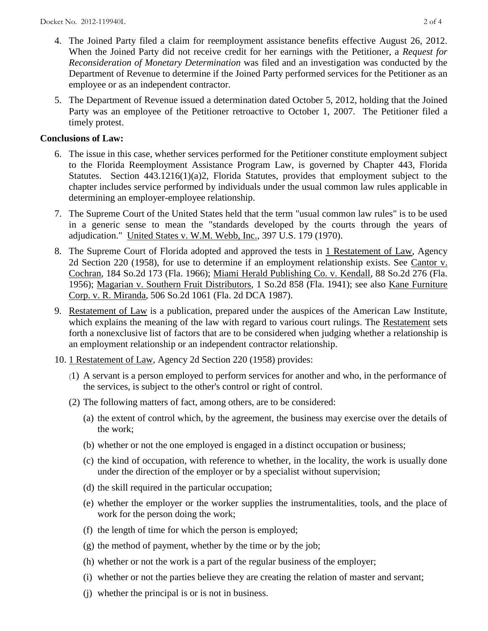- 4. The Joined Party filed a claim for reemployment assistance benefits effective August 26, 2012. When the Joined Party did not receive credit for her earnings with the Petitioner, a *Request for Reconsideration of Monetary Determination* was filed and an investigation was conducted by the Department of Revenue to determine if the Joined Party performed services for the Petitioner as an employee or as an independent contractor.
- 5. The Department of Revenue issued a determination dated October 5, 2012, holding that the Joined Party was an employee of the Petitioner retroactive to October 1, 2007. The Petitioner filed a timely protest.

## **Conclusions of Law:**

- 6. The issue in this case, whether services performed for the Petitioner constitute employment subject to the Florida Reemployment Assistance Program Law, is governed by Chapter 443, Florida Statutes. Section 443.1216(1)(a)2, Florida Statutes, provides that employment subject to the chapter includes service performed by individuals under the usual common law rules applicable in determining an employer-employee relationship.
- 7. The Supreme Court of the United States held that the term "usual common law rules" is to be used in a generic sense to mean the "standards developed by the courts through the years of adjudication." United States v. W.M. Webb, Inc., 397 U.S. 179 (1970).
- 8. The Supreme Court of Florida adopted and approved the tests in 1 Restatement of Law, Agency 2d Section 220 (1958), for use to determine if an employment relationship exists. See Cantor v. Cochran, 184 So.2d 173 (Fla. 1966); Miami Herald Publishing Co. v. Kendall, 88 So.2d 276 (Fla. 1956); Magarian v. Southern Fruit Distributors, 1 So.2d 858 (Fla. 1941); see also Kane Furniture Corp. v. R. Miranda, 506 So.2d 1061 (Fla. 2d DCA 1987).
- 9. Restatement of Law is a publication, prepared under the auspices of the American Law Institute, which explains the meaning of the law with regard to various court rulings. The Restatement sets forth a nonexclusive list of factors that are to be considered when judging whether a relationship is an employment relationship or an independent contractor relationship.
- 10. 1 Restatement of Law, Agency 2d Section 220 (1958) provides:
	- (1) A servant is a person employed to perform services for another and who, in the performance of the services, is subject to the other's control or right of control.
	- (2) The following matters of fact, among others, are to be considered:
		- (a) the extent of control which, by the agreement, the business may exercise over the details of the work;
		- (b) whether or not the one employed is engaged in a distinct occupation or business;
		- (c) the kind of occupation, with reference to whether, in the locality, the work is usually done under the direction of the employer or by a specialist without supervision;
		- (d) the skill required in the particular occupation;
		- (e) whether the employer or the worker supplies the instrumentalities, tools, and the place of work for the person doing the work;
		- (f) the length of time for which the person is employed;
		- (g) the method of payment, whether by the time or by the job;
		- (h) whether or not the work is a part of the regular business of the employer;
		- (i) whether or not the parties believe they are creating the relation of master and servant;
		- (j) whether the principal is or is not in business.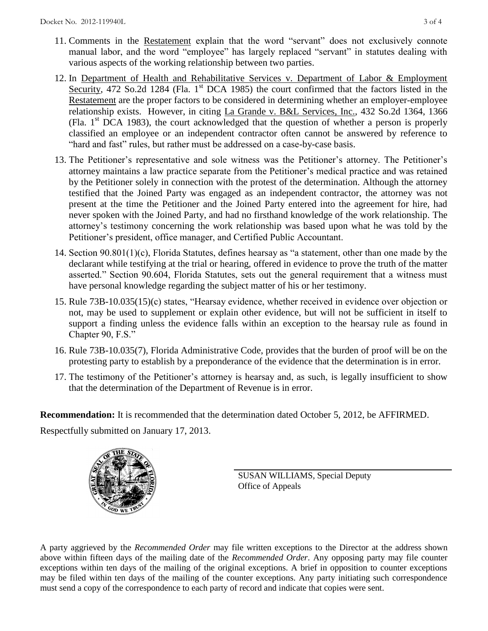- 11. Comments in the Restatement explain that the word "servant" does not exclusively connote manual labor, and the word "employee" has largely replaced "servant" in statutes dealing with various aspects of the working relationship between two parties.
- 12. In Department of Health and Rehabilitative Services v. Department of Labor & Employment Security, 472 So.2d 1284 (Fla. 1<sup>st</sup> DCA 1985) the court confirmed that the factors listed in the Restatement are the proper factors to be considered in determining whether an employer-employee relationship exists. However, in citing La Grande v. B&L Services, Inc., 432 So.2d 1364, 1366 (Fla.  $1<sup>st</sup> DCA$  1983), the court acknowledged that the question of whether a person is properly classified an employee or an independent contractor often cannot be answered by reference to "hard and fast" rules, but rather must be addressed on a case-by-case basis.
- 13. The Petitioner's representative and sole witness was the Petitioner's attorney. The Petitioner's attorney maintains a law practice separate from the Petitioner's medical practice and was retained by the Petitioner solely in connection with the protest of the determination. Although the attorney testified that the Joined Party was engaged as an independent contractor, the attorney was not present at the time the Petitioner and the Joined Party entered into the agreement for hire, had never spoken with the Joined Party, and had no firsthand knowledge of the work relationship. The attorney's testimony concerning the work relationship was based upon what he was told by the Petitioner's president, office manager, and Certified Public Accountant.
- 14. Section 90.801(1)(c), Florida Statutes, defines hearsay as "a statement, other than one made by the declarant while testifying at the trial or hearing, offered in evidence to prove the truth of the matter asserted." Section 90.604, Florida Statutes, sets out the general requirement that a witness must have personal knowledge regarding the subject matter of his or her testimony.
- 15. Rule 73B-10.035(15)(c) states, "Hearsay evidence, whether received in evidence over objection or not, may be used to supplement or explain other evidence, but will not be sufficient in itself to support a finding unless the evidence falls within an exception to the hearsay rule as found in Chapter 90, F.S."
- 16. Rule 73B-10.035(7), Florida Administrative Code, provides that the burden of proof will be on the protesting party to establish by a preponderance of the evidence that the determination is in error.
- 17. The testimony of the Petitioner's attorney is hearsay and, as such, is legally insufficient to show that the determination of the Department of Revenue is in error.

**Recommendation:** It is recommended that the determination dated October 5, 2012, be AFFIRMED.

Respectfully submitted on January 17, 2013.



SUSAN WILLIAMS, Special Deputy Office of Appeals

A party aggrieved by the *Recommended Order* may file written exceptions to the Director at the address shown above within fifteen days of the mailing date of the *Recommended Order*. Any opposing party may file counter exceptions within ten days of the mailing of the original exceptions. A brief in opposition to counter exceptions may be filed within ten days of the mailing of the counter exceptions. Any party initiating such correspondence must send a copy of the correspondence to each party of record and indicate that copies were sent.